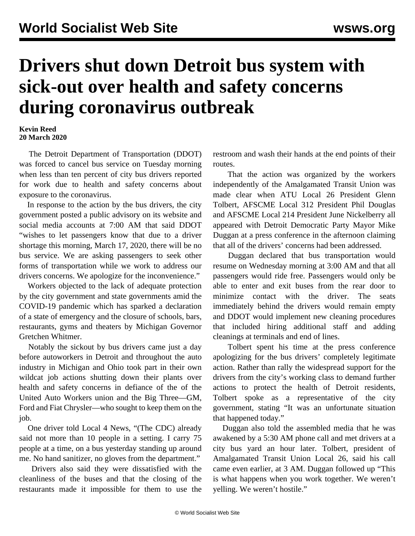## **Drivers shut down Detroit bus system with sick-out over health and safety concerns during coronavirus outbreak**

## **Kevin Reed 20 March 2020**

 The Detroit Department of Transportation (DDOT) was forced to cancel bus service on Tuesday morning when less than ten percent of city bus drivers reported for work due to health and safety concerns about exposure to the coronavirus.

 In response to the action by the bus drivers, the city government posted a public advisory on its website and social media accounts at 7:00 AM that said DDOT "wishes to let passengers know that due to a driver shortage this morning, March 17, 2020, there will be no bus service. We are asking passengers to seek other forms of transportation while we work to address our drivers concerns. We apologize for the inconvenience."

 Workers objected to the lack of adequate protection by the city government and state governments amid the COVID-19 pandemic which has sparked a declaration of a state of emergency and the closure of schools, bars, restaurants, gyms and theaters by Michigan Governor Gretchen Whitmer.

 Notably the sickout by bus drivers came just a day before autoworkers in Detroit and throughout the auto industry in Michigan and Ohio took part in their own wildcat job actions shutting down their plants over health and safety concerns in defiance of the of the United Auto Workers union and the Big Three—GM, Ford and Fiat Chrysler—who sought to keep them on the job.

 One driver told Local 4 News, "(The CDC) already said not more than 10 people in a setting. I carry 75 people at a time, on a bus yesterday standing up around me. No hand sanitizer, no gloves from the department."

 Drivers also said they were dissatisfied with the cleanliness of the buses and that the closing of the restaurants made it impossible for them to use the restroom and wash their hands at the end points of their routes.

 That the action was organized by the workers independently of the Amalgamated Transit Union was made clear when ATU Local 26 President Glenn Tolbert, AFSCME Local 312 President Phil Douglas and AFSCME Local 214 President June Nickelberry all appeared with Detroit Democratic Party Mayor Mike Duggan at a press conference in the afternoon claiming that all of the drivers' concerns had been addressed.

 Duggan declared that bus transportation would resume on Wednesday morning at 3:00 AM and that all passengers would ride free. Passengers would only be able to enter and exit buses from the rear door to minimize contact with the driver. The seats immediately behind the drivers would remain empty and DDOT would implement new cleaning procedures that included hiring additional staff and adding cleanings at terminals and end of lines.

 Tolbert spent his time at the press conference apologizing for the bus drivers' completely legitimate action. Rather than rally the widespread support for the drivers from the city's working class to demand further actions to protect the health of Detroit residents, Tolbert spoke as a representative of the city government, stating "It was an unfortunate situation that happened today."

 Duggan also told the assembled media that he was awakened by a 5:30 AM phone call and met drivers at a city bus yard an hour later. Tolbert, president of Amalgamated Transit Union Local 26, said his call came even earlier, at 3 AM. Duggan followed up "This is what happens when you work together. We weren't yelling. We weren't hostile."